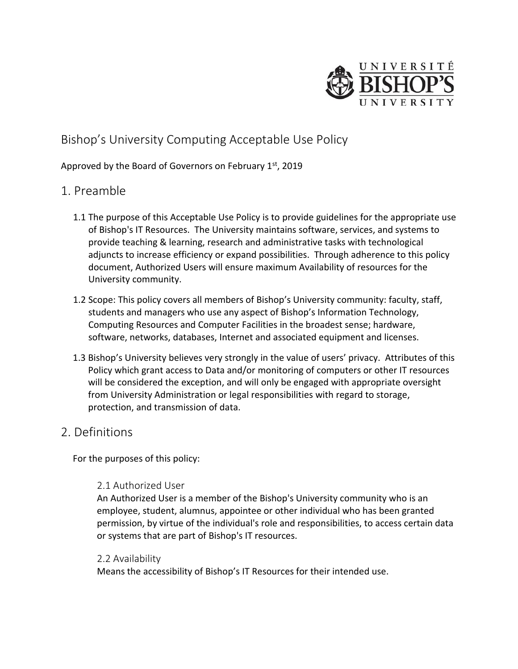

# Bishop's University Computing Acceptable Use Policy

#### Approved by the Board of Governors on February  $1<sup>st</sup>$ , 2019

## 1. Preamble

- 1.1 The purpose of this Acceptable Use Policy is to provide guidelines for the appropriate use of Bishop's IT Resources. The University maintains software, services, and systems to provide teaching & learning, research and administrative tasks with technological adjuncts to increase efficiency or expand possibilities. Through adherence to this policy document, Authorized Users will ensure maximum Availability of resources for the University community.
- 1.2 Scope: This policy covers all members of Bishop's University community: faculty, staff, students and managers who use any aspect of Bishop's Information Technology, Computing Resources and Computer Facilities in the broadest sense; hardware, software, networks, databases, Internet and associated equipment and licenses.
- 1.3 Bishop's University believes very strongly in the value of users' privacy. Attributes of this Policy which grant access to Data and/or monitoring of computers or other IT resources will be considered the exception, and will only be engaged with appropriate oversight from University Administration or legal responsibilities with regard to storage, protection, and transmission of data.

## 2. Definitions

For the purposes of this policy:

#### 2.1 Authorized User

An Authorized User is a member of the Bishop's University community who is an employee, student, alumnus, appointee or other individual who has been granted permission, by virtue of the individual's role and responsibilities, to access certain data or systems that are part of Bishop's IT resources.

#### 2.2 Availability

Means the accessibility of Bishop's IT Resources for their intended use.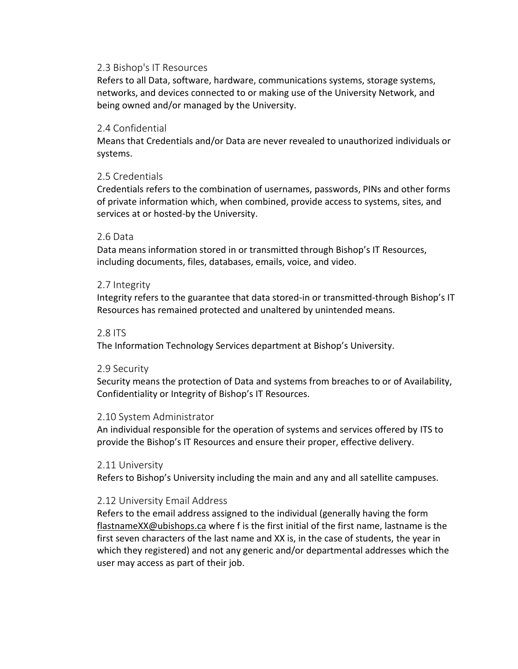#### 2.3 Bishop's IT Resources

Refers to all Data, software, hardware, communications systems, storage systems, networks, and devices connected to or making use of the University Network, and being owned and/or managed by the University.

#### 2.4 Confidential

Means that Credentials and/or Data are never revealed to unauthorized individuals or systems.

#### 2.5 Credentials

Credentials refers to the combination of usernames, passwords, PINs and other forms of private information which, when combined, provide access to systems, sites, and services at or hosted-by the University.

#### 2.6 Data

Data means information stored in or transmitted through Bishop's IT Resources, including documents, files, databases, emails, voice, and video.

#### 2.7 Integrity

Integrity refers to the guarantee that data stored-in or transmitted-through Bishop's IT Resources has remained protected and unaltered by unintended means.

#### 2.8 ITS

The Information Technology Services department at Bishop's University.

#### 2.9 Security

Security means the protection of Data and systems from breaches to or of Availability, Confidentiality or Integrity of Bishop's IT Resources.

#### 2.10 System Administrator

An individual responsible for the operation of systems and services offered by ITS to provide the Bishop's IT Resources and ensure their proper, effective delivery.

#### 2.11 University

Refers to Bishop's University including the main and any and all satellite campuses.

#### 2.12 University Email Address

Refers to the email address assigned to the individual (generally having the form [flastnameXX@ubishops.ca](mailto:flastnameXX@ubishops.ca) where f is the first initial of the first name, lastname is the first seven characters of the last name and XX is, in the case of students, the year in which they registered) and not any generic and/or departmental addresses which the user may access as part of their job.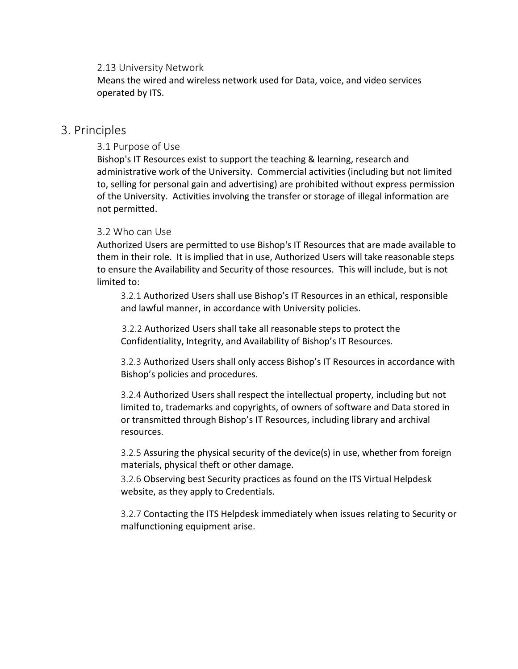#### 2.13 University Network

Means the wired and wireless network used for Data, voice, and video services operated by ITS.

### 3. Principles

#### 3.1 Purpose of Use

Bishop's IT Resources exist to support the teaching & learning, research and administrative work of the University. Commercial activities (including but not limited to, selling for personal gain and advertising) are prohibited without express permission of the University. Activities involving the transfer or storage of illegal information are not permitted.

#### 3.2 Who can Use

Authorized Users are permitted to use Bishop's IT Resources that are made available to them in their role. It is implied that in use, Authorized Users will take reasonable steps to ensure the Availability and Security of those resources. This will include, but is not limited to:

3.2.1 Authorized Users shall use Bishop's IT Resources in an ethical, responsible and lawful manner, in accordance with University policies.

3.2.2 Authorized Users shall take all reasonable steps to protect the Confidentiality, Integrity, and Availability of Bishop's IT Resources.

3.2.3 Authorized Users shall only access Bishop's IT Resources in accordance with Bishop's policies and procedures.

3.2.4 Authorized Users shall respect the intellectual property, including but not limited to, trademarks and copyrights, of owners of software and Data stored in or transmitted through Bishop's IT Resources, including library and archival resources.

3.2.5 Assuring the physical security of the device(s) in use, whether from foreign materials, physical theft or other damage.

3.2.6 Observing best Security practices as found on the ITS Virtual Helpdesk website, as they apply to Credentials.

3.2.7 Contacting the ITS Helpdesk immediately when issues relating to Security or malfunctioning equipment arise.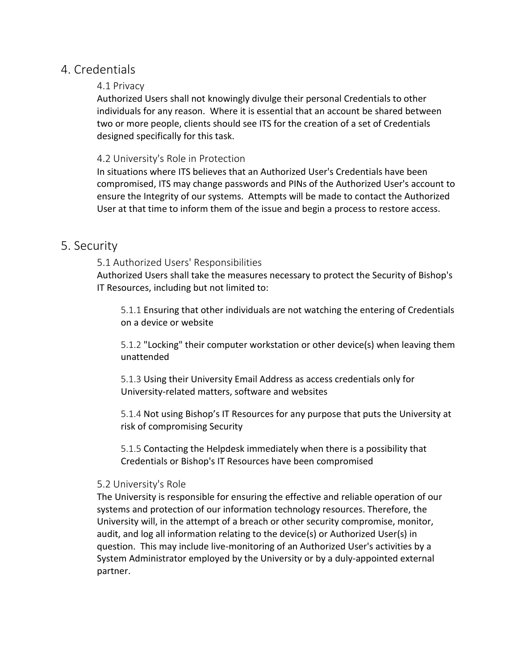## 4. Credentials

#### 4.1 Privacy

Authorized Users shall not knowingly divulge their personal Credentials to other individuals for any reason. Where it is essential that an account be shared between two or more people, clients should see ITS for the creation of a set of Credentials designed specifically for this task.

#### 4.2 University's Role in Protection

In situations where ITS believes that an Authorized User's Credentials have been compromised, ITS may change passwords and PINs of the Authorized User's account to ensure the Integrity of our systems. Attempts will be made to contact the Authorized User at that time to inform them of the issue and begin a process to restore access.

## 5. Security

#### 5.1 Authorized Users' Responsibilities

Authorized Users shall take the measures necessary to protect the Security of Bishop's IT Resources, including but not limited to:

5.1.1 Ensuring that other individuals are not watching the entering of Credentials on a device or website

5.1.2 "Locking" their computer workstation or other device(s) when leaving them unattended

5.1.3 Using their University Email Address as access credentials only for University-related matters, software and websites

5.1.4 Not using Bishop's IT Resources for any purpose that puts the University at risk of compromising Security

5.1.5 Contacting the Helpdesk immediately when there is a possibility that Credentials or Bishop's IT Resources have been compromised

#### 5.2 University's Role

The University is responsible for ensuring the effective and reliable operation of our systems and protection of our information technology resources. Therefore, the University will, in the attempt of a breach or other security compromise, monitor, audit, and log all information relating to the device(s) or Authorized User(s) in question. This may include live-monitoring of an Authorized User's activities by a System Administrator employed by the University or by a duly-appointed external partner.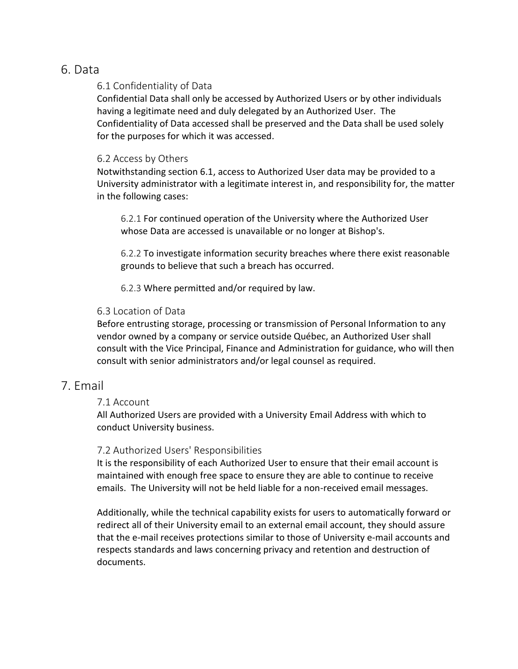## 6. Data

#### 6.1 Confidentiality of Data

Confidential Data shall only be accessed by Authorized Users or by other individuals having a legitimate need and duly delegated by an Authorized User. The Confidentiality of Data accessed shall be preserved and the Data shall be used solely for the purposes for which it was accessed.

#### 6.2 Access by Others

Notwithstanding section 6.1, access to Authorized User data may be provided to a University administrator with a legitimate interest in, and responsibility for, the matter in the following cases:

6.2.1 For continued operation of the University where the Authorized User whose Data are accessed is unavailable or no longer at Bishop's.

6.2.2 To investigate information security breaches where there exist reasonable grounds to believe that such a breach has occurred.

6.2.3 Where permitted and/or required by law.

### 6.3 Location of Data

Before entrusting storage, processing or transmission of Personal Information to any vendor owned by a company or service outside Québec, an Authorized User shall consult with the Vice Principal, Finance and Administration for guidance, who will then consult with senior administrators and/or legal counsel as required.

## 7. Email

### 7.1 Account

All Authorized Users are provided with a University Email Address with which to conduct University business.

### 7.2 Authorized Users' Responsibilities

It is the responsibility of each Authorized User to ensure that their email account is maintained with enough free space to ensure they are able to continue to receive emails. The University will not be held liable for a non-received email messages.

Additionally, while the technical capability exists for users to automatically forward or redirect all of their University email to an external email account, they should assure that the e-mail receives protections similar to those of University e-mail accounts and respects standards and laws concerning privacy and retention and destruction of documents.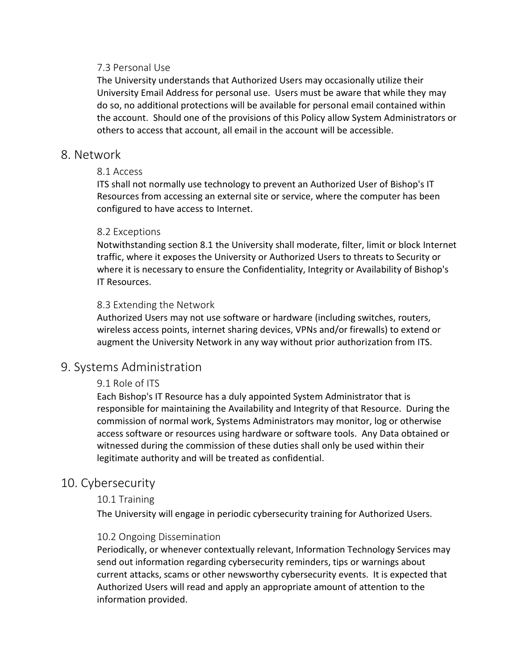#### 7.3 Personal Use

The University understands that Authorized Users may occasionally utilize their University Email Address for personal use. Users must be aware that while they may do so, no additional protections will be available for personal email contained within the account. Should one of the provisions of this Policy allow System Administrators or others to access that account, all email in the account will be accessible.

### 8. Network

#### 8.1 Access

ITS shall not normally use technology to prevent an Authorized User of Bishop's IT Resources from accessing an external site or service, where the computer has been configured to have access to Internet.

#### 8.2 Exceptions

Notwithstanding section 8.1 the University shall moderate, filter, limit or block Internet traffic, where it exposes the University or Authorized Users to threats to Security or where it is necessary to ensure the Confidentiality, Integrity or Availability of Bishop's IT Resources.

#### 8.3 Extending the Network

Authorized Users may not use software or hardware (including switches, routers, wireless access points, internet sharing devices, VPNs and/or firewalls) to extend or augment the University Network in any way without prior authorization from ITS.

## 9. Systems Administration

#### 9.1 Role of ITS

Each Bishop's IT Resource has a duly appointed System Administrator that is responsible for maintaining the Availability and Integrity of that Resource. During the commission of normal work, Systems Administrators may monitor, log or otherwise access software or resources using hardware or software tools. Any Data obtained or witnessed during the commission of these duties shall only be used within their legitimate authority and will be treated as confidential.

### 10. Cybersecurity

#### 10.1 Training

The University will engage in periodic cybersecurity training for Authorized Users.

#### 10.2 Ongoing Dissemination

Periodically, or whenever contextually relevant, Information Technology Services may send out information regarding cybersecurity reminders, tips or warnings about current attacks, scams or other newsworthy cybersecurity events. It is expected that Authorized Users will read and apply an appropriate amount of attention to the information provided.